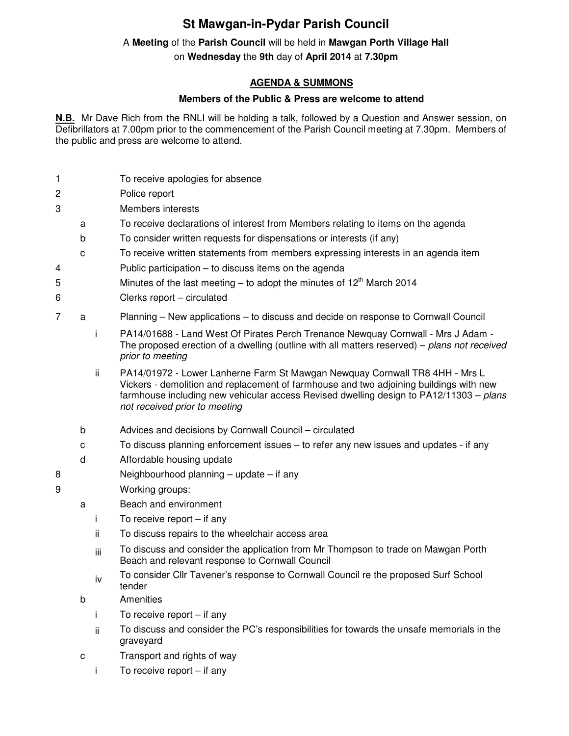## **St Mawgan-in-Pydar Parish Council**

## A **Meeting** of the **Parish Council** will be held in **Mawgan Porth Village Hall**

on **Wednesday** the **9th** day of **April 2014** at **7.30pm** 

## **AGENDA & SUMMONS**

## **Members of the Public & Press are welcome to attend**

**N.B.** Mr Dave Rich from the RNLI will be holding a talk, followed by a Question and Answer session, on Defibrillators at 7.00pm prior to the commencement of the Parish Council meeting at 7.30pm. Members of the public and press are welcome to attend.

- 1 To receive apologies for absence
- 2 Police report
- 3 Members interests
	- a To receive declarations of interest from Members relating to items on the agenda
	- b To consider written requests for dispensations or interests (if any)
	- c To receive written statements from members expressing interests in an agenda item
- 4 Public participation to discuss items on the agenda
- 5 Minutes of the last meeting to adopt the minutes of  $12<sup>th</sup>$  March 2014
- 6 Clerks report circulated

7 a Planning – New applications – to discuss and decide on response to Cornwall Council

- i PA14/01688 Land West Of Pirates Perch Trenance Newquay Cornwall Mrs J Adam The proposed erection of a dwelling (outline with all matters reserved) – plans not received prior to meeting
- ii PA14/01972 Lower Lanherne Farm St Mawgan Newquay Cornwall TR8 4HH Mrs L Vickers - demolition and replacement of farmhouse and two adjoining buildings with new farmhouse including new vehicular access Revised dwelling design to PA12/11303 – plans not received prior to meeting
- b Advices and decisions by Cornwall Council circulated
- c To discuss planning enforcement issues to refer any new issues and updates if any
- d Affordable housing update
- 8 Neighbourhood planning update if any
- 9 Working groups:
	- a Beach and environment
		- i To receive report if any
		- ii To discuss repairs to the wheelchair access area
		- iii To discuss and consider the application from Mr Thompson to trade on Mawgan Porth Beach and relevant response to Cornwall Council
		- iv To consider Cllr Tavener's response to Cornwall Council re the proposed Surf School tender
	- b Amenities
		- i To receive report if any
		- ii To discuss and consider the PC's responsibilities for towards the unsafe memorials in the graveyard
	- c Transport and rights of way
		- i To receive report if any